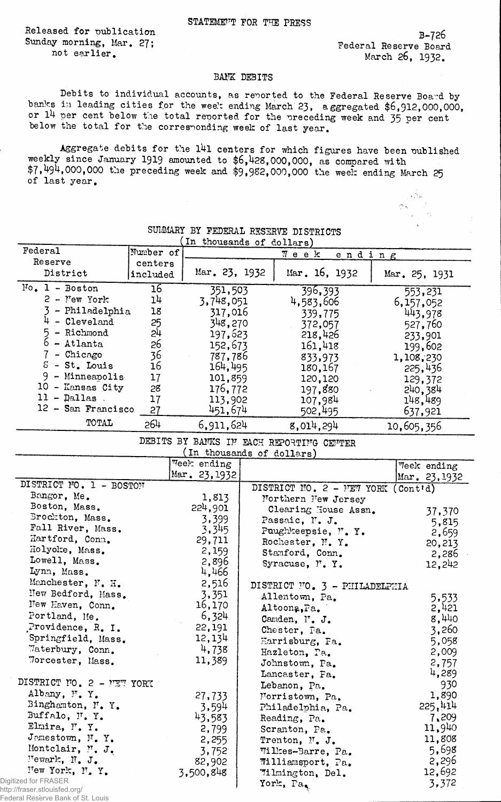Released for publication Sunday morning, Mar. 27; not earlier.

B-726 Federal Reserve Board March 26, 1932.

> $\frac{1}{2}$  ,  $\frac{1}{2}$  ,  $\ddot{\phantom{1}}$

## BANK DEBITS

Debits to individual accounts, as reported to the Federal Reserve Board bybanks in leading cities for the week ending March 23, a ggregated \$6,912,000,000, or 14 per cent below the total reported for the preceding week and 35 per cent below the total for the corresponding week of last year.

Aggregate debits for the 141 centers for which figures have been published weekly since January I919 amounted to \$6,428,000,000, as compared with  $$7,494,000,000$  the preceding week and  $$9,982,000,000$  the week ending March 25 of last year.

|                                   |           | In thousands of dollars)  |                                          |                                     |
|-----------------------------------|-----------|---------------------------|------------------------------------------|-------------------------------------|
| Federal                           | Number of |                           | $\P$ e e $k$<br>ending                   |                                     |
| Reserve                           | centers   |                           |                                          |                                     |
| District                          | included  | Mar. 23, 1932             | Mar. $16, 1932$                          | Mar. 25, 1931                       |
| $No. 1 - Boston$                  | 16        | 351,503                   | 396,393                                  | 553,231                             |
| $2 - New York$                    | 14        | 3,748,051                 | 4,583,606                                | 6,157,052                           |
| - Philadelphia                    | 18        | 317,016                   | 339,775                                  | 443,978                             |
| $4$ - Cleveland                   | 25        | 348,270                   | 372,057                                  | 527,760                             |
| - Richmond<br>5.                  | 51        | 197,623                   | 218,426                                  | 233,901                             |
| $6$ - Atlanta                     | 26        | 152,673                   | 161,418                                  | 199,602                             |
| $7$ - Chicago                     | 36        | 787,786                   | 833,973                                  | 1,108,230                           |
| $S - St$ . Louis                  | 16        | 164,495                   | 180,167                                  | 225,436                             |
| $9$ - Minneapolis                 | 17        | 101,859                   | 120,120                                  | 129,372                             |
| 10 - Kansas City                  | 28        | 176,772                   | 197,880                                  | 240,384                             |
| $11 -$ Dallas.                    | 17        | 113,902                   | 107,984                                  | 148,489                             |
| 12 - San Francisco                | 27        | 451,674                   | 502,495                                  | 637,921                             |
| TOTAL                             | 264       | 6,911,624                 | 8,014,294                                |                                     |
|                                   |           |                           |                                          | 10,605,356                          |
|                                   |           | (In thousands of dollars) | DEBITS BY BANKS IN EACH REPORTING CENTER |                                     |
|                                   |           | Week ending               |                                          | Teek ending                         |
|                                   |           | Mar. 23, 1932             |                                          | Mar. 23,1932                        |
| DISTRICT NO. 1 - BOSTON           |           |                           | DISTRICT NO. 2 - MEW YORK                | $($ Cont <sup><math>d)</math></sup> |
| Bangor, Me.                       |           | 1,813                     | Northern New Jersey                      |                                     |
| Boston, Mass.                     |           | 224,901                   | Clearing House Assn.                     | 37,370                              |
| Brockton, Mass.                   |           | 3,399                     | Passaic, N. J.                           | 5,815                               |
| Fall River, Mass.                 |           | 3,345                     | Puughkeepsie, M.Y.                       | 2,659                               |
| Hartford, Conn.                   |           | 29,711                    | Rochester, N.Y.                          | 20,213                              |
| Holyoke, Mass.                    |           | 2,159                     | Stamford, Conn.                          | 2,286                               |
| Lowell, Mass.                     |           | 2,896                     | Syracuse, M.Y.                           | 12,242                              |
| Lynn, Mass.                       |           | 4,466                     |                                          |                                     |
| Manchester, N. H.                 |           | 2,516                     | DISTRICT NO. 3 - PHILADELPHIA            |                                     |
| New Bedford, Mass.                |           | 3,351                     | Allentown, Pa.                           | 5,533                               |
| New Haven, Conn.                  |           | 16,170                    | Altoona, Pa.                             | 2,421                               |
| Portland, Me.                     |           | 6,324                     | Canden, N. J.                            | 8,440                               |
| Providence, R. I.                 |           | 22,191                    | Chester, Pa.                             | 3,260                               |
| Springfield, Mass.                |           | 12,134                    | Harrisburg, Fa.                          |                                     |
| Waterbury, Conn.                  |           | 4,738                     | Hazleton, Pa.                            | 5,058<br>2,009                      |
| Morcester, Mass.                  |           | 11,389                    | Johnstown, Pa.                           |                                     |
|                                   |           |                           |                                          | 2,757<br>4,289                      |
| DISTRICT NO. 2 - PET YORK         |           |                           | Lancaster, Fa.                           | 930                                 |
| Albany, N.Y.                      |           |                           | Lebanon, Pa.                             | 1,890                               |
| Binghamton, N.Y.                  |           | 27,733                    | Morristown, Pa.                          | 225,414                             |
| Buffalo, F.Y.                     |           | 3,594                     | Philadelphia, Pa.                        |                                     |
| Elmira, N.Y.                      |           | 43,583                    | Reading, Pa.                             | 7,209<br>11,940                     |
| Jamestown, N.Y.                   |           | 2,799                     | Scranton, Pa.                            |                                     |
| Montclair, N. J.                  |           | 2,255                     | Trenton, $\mathbb{N}$ . J.               | 11,808                              |
| Wewark, N. J.                     |           | 3,752                     | Wilkes-Barre, Pa.                        | 5,698                               |
| New York, N.Y.                    |           | 82,902                    | Williamsport, Pa.                        | 2,296                               |
| Digitized for FRASER              |           | 3,500,848                 | Wilmington, Del.                         | 12,692                              |
| http://fraser.stlouisfed.org/     |           |                           | York, Pa,                                | 3,372                               |
| Federal Reserve Bank of St. Louis |           |                           |                                          |                                     |

## SUMMARY BY FEDERAL RESERVE DISTRICTS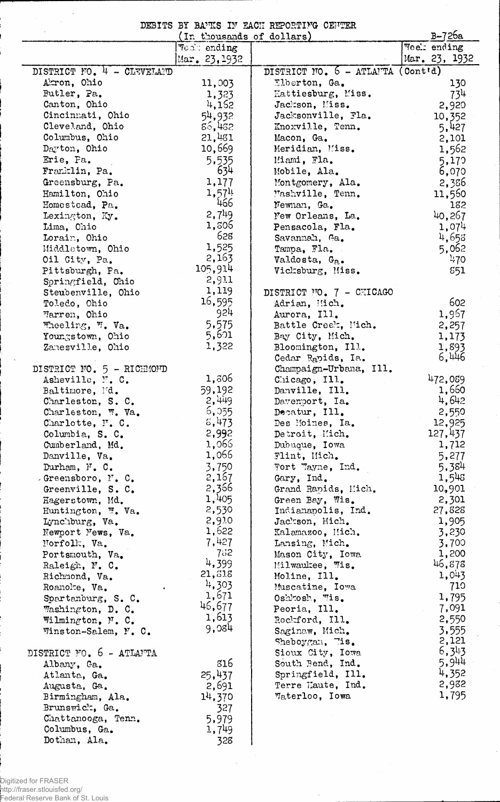DEBITS BY BANKS IN EACH REPORTING CENTER

|                            | (In thousands of dollars) | B-726a                            |               |
|----------------------------|---------------------------|-----------------------------------|---------------|
|                            | <b>Veal</b> ending        |                                   | Week ending   |
|                            | Mar. 23, 1932             |                                   | Mar. 23, 1932 |
| DISTRICT NO. 4 - CLEVELAND |                           | DISTRICT NO. 6 - ATLANTA (Cont'd) |               |
| Akron, Ohio                | 11,003                    | Elberton, Ga.                     | 130           |
| Butler, Pa.                | 1,323                     | Hattiesburg, Miss.                | 734           |
| Canton, Ohio               | 4,152                     | Jackson, Miss.                    | 2,920         |
| Cincinnati, Ohio           | 54,932                    | Jacksonville, Fla.                | 10,352        |
| Cleveland, Ohio            | 85,432                    | Knoxville, Tenn.                  | 5,427         |
| Columbus, Ohio             | 21,481                    | Macon, Ga.                        | 2,101         |
| Dayton, Ohio               | 10,669                    | Meridian, Miss.                   | 1,562         |
| Erie, Pa.                  | 5,535                     | Miami, Fla.                       | 5,179         |
| Franklin, Pa.              | 634                       | Mobile, Ala.                      | 6,070         |
| Greensburg, Pa.            | 1,177                     | Montgomery, Ala.                  | 2,386         |
| Hamilton, Ohio             | 1,57 <sup>11</sup>        | Washville, Tenn.                  | 11,560        |
| Homestead, Pa.             | 466                       | Newnan, Ga.                       | 182           |
| Lexington, Ky.             | 2,7 <sup>1</sup>          | New Orleans, La.                  | 40,267        |
| Lima, Chio                 | 1,306                     | Pensacola, Fla.                   | 1,074         |
| Lorain, Ohio               | 628                       | Savannah, Ga.                     | 4,653         |
| Middletown, Ohio           | 1,525                     | Tampa, Fla.                       | 5,062         |
| Oil City, Pa.              | 2,163                     | Valdosta, Ga.                     | 470           |
| Pittsburgh, Pa.            | 105,914                   | Vicksburg, Miss.                  | 851           |
| Springfield, Chio          | 2,911                     |                                   |               |
| Steubenville, Ohio         | 1,119                     | DISTRICT NO. 7 - CHICAGO          |               |
| Toledo, Ohio               | 16,595                    | Adrian, Mich.                     | 602           |
| Marren, Ohio               | 924                       | Aurora, Ill.                      | 1,967         |
| Wheeling, W. Va.           | 5,575                     | Battle Creek, Mich.               | 2,257         |
| Youngstown, Ohio           | 5,601                     | Bay City, Mich.                   | 1,173         |
| Zanesville, Ohio           | 1,322                     | Bloomington, Ill.                 | 1,893         |
|                            |                           | Cedar Rapids, Ia.                 | 6,446         |
| DISTRICT NO. 5 - RICHMOND  |                           | Champaign-Urbana, Ill.            |               |
| Asheville, N.C.            | 1,306                     | Chicago, Ill.                     | 472,089       |
| Baltimore, Md.             | 59,192                    | Danville, Ill.                    | 1,660         |
| Charleston, S. C.          | 2,449                     | Davenport, Ia.                    | 4,642         |
| Charleston, W. Va.         | 5,355                     | Decatur, Ill.                     | 2,550         |
| Charlotte, N. C.           | 5,473                     | Des Moines, Ia.                   | 12,925        |
| Columbia, S. C.            | 2,992                     | Detroit, Mich.                    | 127,437       |
| Cumberland, Md.            | 1,066                     | Dubuque, Iowa                     | 1,712         |
| Danville, Va.              | 1,066                     | Flint, Mich.                      | 5,277         |
| Durham, $N$ . $C$ .        | 3,750                     | Fort Tayne, Ind.                  | 5,384         |
| Greensboro, N.C.           | 2,167                     | Gary, Ind.                        | 1,543         |
| Greenville, S. C.          | 2,366                     | Grand Rapids, Mich.               | 10,901        |
| Hagerstown, Md.            | 1,405                     | Green Bay, Wis.                   | 2,301         |
| Huntington, W. Va.         | 2,530                     | Indianapolis, Ind.                | 27,828        |
| Lynchburg, Va.             | 2,910                     | Jackson, Mich.                    | 1,905         |
| Newport News, Va.          | 1,622                     | Kalamazoo, Mich.                  | 3,230         |
| Norfolk, Va.               | 7,427                     | Lansing, Mich.                    | 3,700         |
| Portsmouth, Va.            | 752                       | Mason City, Iowa                  | 1,200         |
| Raleigh, N. C.             | 4,399                     | Milwaukee, Wis.                   | 46,873        |
| Richmond, Va.              | 21,618<br>4,303           | Moline, Ill.                      | 1,043         |
| Roanolte, Va.              | 1,671                     | Muscatine, Iowa                   | 710           |
| Spartanburg, S. C.         | 46,677                    | Oshkosh, Wis.                     | 1,795         |
| Washington, D. C.          | 1,613                     | Peoria, Ill.                      | 7,091         |
| Wilmington, N. C.          | 9,084                     | Rockford, Ill.                    | 2,550         |
| Winston-Salem, N. C.       |                           | Saginaw, Mich.                    | 3,555         |
|                            |                           | $Sheboycan$ , $7is$ .             | 2,121         |
| DISTRICT NO. 6 - ATLANTA   |                           | Sioux City, Iowa                  | 6,343         |
| Albany, Ga.                | 316                       | South Bend, Ind.                  | 5,944         |
| Atlanta, Ga.               | 25,437                    | Springfield, Ill.                 | 4,352         |
| Augusta, Ga.               | 2,691                     | Terre Haute, Ind.                 | 2,982         |
| Birmingham, Ala.           | 14,370                    | Waterloo, Iowa                    | 1,795         |
| Brunswick, Ga.             | 327                       |                                   |               |
| Chattanooga, Tenn.         | 5,979                     |                                   |               |
| Columbus, Ga.              | 1,749                     |                                   |               |
| Dothan, Ala.               | 328                       |                                   |               |

 $\hat{\mathcal{A}}$ 

 $\bar{\alpha}$ 

 $\bar{\bar{z}}$  $\sim 10^7$